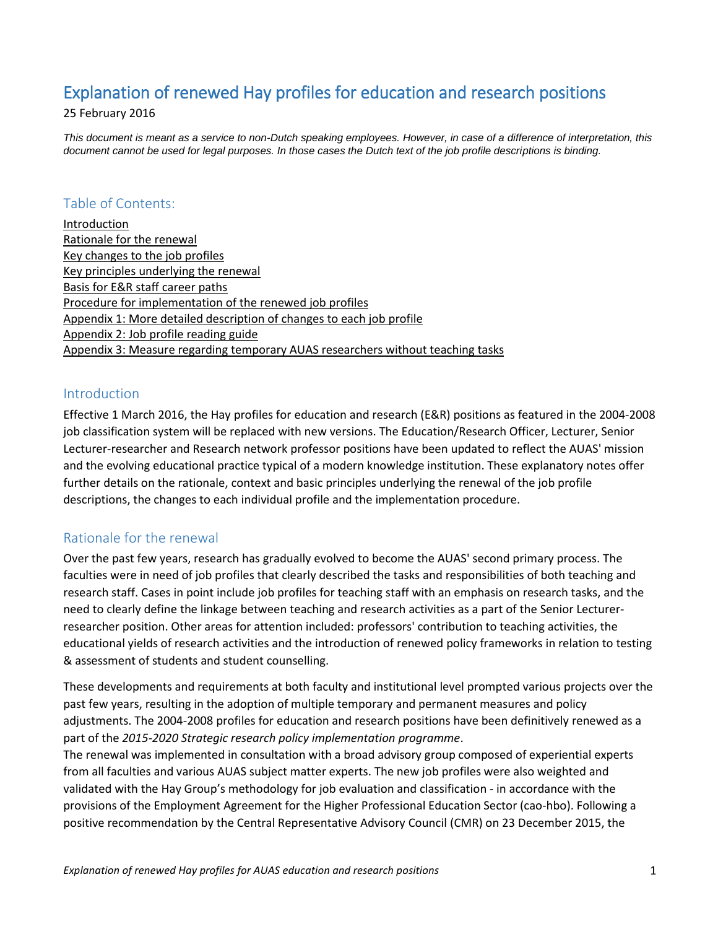## Explanation of renewed Hay profiles for education and research positions

25 February 2016

*This document is meant as a service to non-Dutch speaking employees. However, in case of a difference of interpretation, this document cannot be used for legal purposes. In those cases the Dutch text of the job profile descriptions is binding.*

## Table of Contents:

[Introduction](#page-0-0) [Rationale for the renewal](#page-0-1) [Key changes to the job profiles](#page-1-0) [Key principles underlying the renewal](#page-2-0) [Basis for E&R staff career paths](#page-3-0) [Procedure for implementation of the renewed](#page-4-0) job profiles [Appendix 1: More detailed description of changes](#page-5-0) to each job profile [Appendix 2: Job profile reading guide](#page-7-0) [Appendix 3: Measure regarding temporary AUAS researchers without teaching tasks](#page-10-0)

## <span id="page-0-0"></span>Introduction

Effective 1 March 2016, the Hay profiles for education and research (E&R) positions as featured in the 2004-2008 job classification system will be replaced with new versions. The Education/Research Officer, Lecturer, Senior Lecturer-researcher and Research network professor positions have been updated to reflect the AUAS' mission and the evolving educational practice typical of a modern knowledge institution. These explanatory notes offer further details on the rationale, context and basic principles underlying the renewal of the job profile descriptions, the changes to each individual profile and the implementation procedure.

## <span id="page-0-1"></span>Rationale for the renewal

Over the past few years, research has gradually evolved to become the AUAS' second primary process. The faculties were in need of job profiles that clearly described the tasks and responsibilities of both teaching and research staff. Cases in point include job profiles for teaching staff with an emphasis on research tasks, and the need to clearly define the linkage between teaching and research activities as a part of the Senior Lecturerresearcher position. Other areas for attention included: professors' contribution to teaching activities, the educational yields of research activities and the introduction of renewed policy frameworks in relation to testing & assessment of students and student counselling.

These developments and requirements at both faculty and institutional level prompted various projects over the past few years, resulting in the adoption of multiple temporary and permanent measures and policy adjustments. The 2004-2008 profiles for education and research positions have been definitively renewed as a part of the *2015-2020 Strategic research policy implementation programme*.

The renewal was implemented in consultation with a broad advisory group composed of experiential experts from all faculties and various AUAS subject matter experts. The new job profiles were also weighted and validated with the Hay Group's methodology for job evaluation and classification - in accordance with the provisions of the Employment Agreement for the Higher Professional Education Sector (cao-hbo). Following a positive recommendation by the Central Representative Advisory Council (CMR) on 23 December 2015, the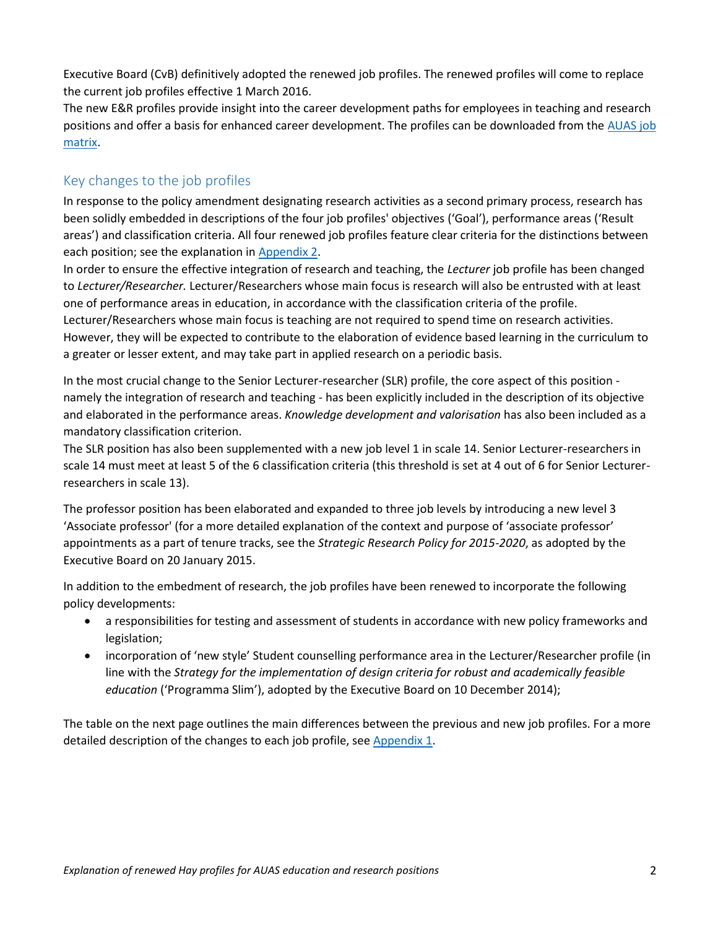Executive Board (CvB) definitively adopted the renewed job profiles. The renewed profiles will come to replace the current job profiles effective 1 March 2016.

The new E&R profiles provide insight into the career development paths for employees in teaching and research positions and offer a basis for enhanced career development. The profiles can be downloaded from the [AUAS job](https://az.hva.nl/binaries/content/assets/serviceplein-a-z-lemmas/ac-po/documenten/documenten-po---profielen-nieuw/functiematrix-2016.pdf)  [matrix.](https://az.hva.nl/binaries/content/assets/serviceplein-a-z-lemmas/ac-po/documenten/documenten-po---profielen-nieuw/functiematrix-2016.pdf)

## <span id="page-1-0"></span>Key changes to the job profiles

In response to the policy amendment designating research activities as a second primary process, research has been solidly embedded in descriptions of the four job profiles' objectives ('Goal'), performance areas ('Result areas') and classification criteria. All four renewed job profiles feature clear criteria for the distinctions between each position; see the explanation i[n Appendix 2.](#page-7-0)

In order to ensure the effective integration of research and teaching, the *Lecturer* job profile has been changed to *Lecturer/Researcher.* Lecturer/Researchers whose main focus is research will also be entrusted with at least one of performance areas in education, in accordance with the classification criteria of the profile. Lecturer/Researchers whose main focus is teaching are not required to spend time on research activities. However, they will be expected to contribute to the elaboration of evidence based learning in the curriculum to a greater or lesser extent, and may take part in applied research on a periodic basis.

In the most crucial change to the Senior Lecturer-researcher (SLR) profile, the core aspect of this position namely the integration of research and teaching - has been explicitly included in the description of its objective and elaborated in the performance areas. *Knowledge development and valorisation* has also been included as a mandatory classification criterion.

The SLR position has also been supplemented with a new job level 1 in scale 14. Senior Lecturer-researchers in scale 14 must meet at least 5 of the 6 classification criteria (this threshold is set at 4 out of 6 for Senior Lecturerresearchers in scale 13).

The professor position has been elaborated and expanded to three job levels by introducing a new level 3 'Associate professor' (for a more detailed explanation of the context and purpose of 'associate professor' appointments as a part of tenure tracks, see the *Strategic Research Policy for 2015-2020*, as adopted by the Executive Board on 20 January 2015.

In addition to the embedment of research, the job profiles have been renewed to incorporate the following policy developments:

- a responsibilities for testing and assessment of students in accordance with new policy frameworks and legislation;
- incorporation of 'new style' Student counselling performance area in the Lecturer/Researcher profile (in line with the *Strategy for the implementation of design criteria for robust and academically feasible education* ('Programma Slim'), adopted by the Executive Board on 10 December 2014);

The table on the next page outlines the main differences between the previous and new job profiles. For a more detailed description of the changes to each job profile, see [Appendix 1.](#page-5-0)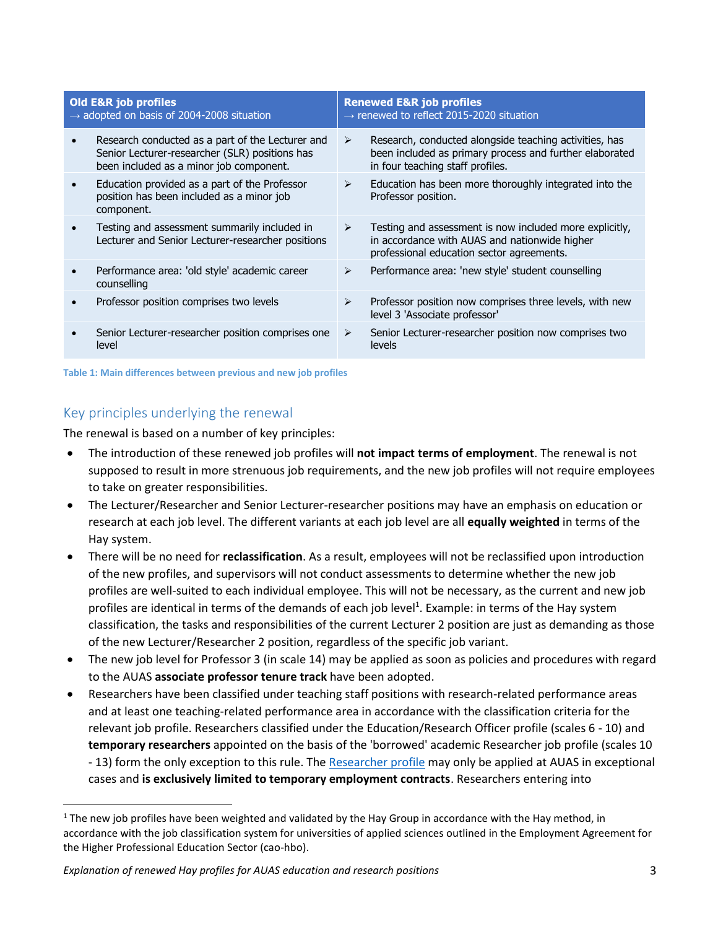| <b>Old E&amp;R job profiles</b><br>$\rightarrow$ adopted on basis of 2004-2008 situation |                                                                                                                                               | <b>Renewed E&amp;R job profiles</b><br>$\rightarrow$ renewed to reflect 2015-2020 situation |                                                                                                                                                       |  |
|------------------------------------------------------------------------------------------|-----------------------------------------------------------------------------------------------------------------------------------------------|---------------------------------------------------------------------------------------------|-------------------------------------------------------------------------------------------------------------------------------------------------------|--|
|                                                                                          | Research conducted as a part of the Lecturer and<br>Senior Lecturer-researcher (SLR) positions has<br>been included as a minor job component. | ➤                                                                                           | Research, conducted alongside teaching activities, has<br>been included as primary process and further elaborated<br>in four teaching staff profiles. |  |
|                                                                                          | Education provided as a part of the Professor<br>position has been included as a minor job<br>component.                                      | $\blacktriangleright$                                                                       | Education has been more thoroughly integrated into the<br>Professor position.                                                                         |  |
|                                                                                          | Testing and assessment summarily included in<br>Lecturer and Senior Lecturer-researcher positions                                             | $\blacktriangleright$                                                                       | Testing and assessment is now included more explicitly,<br>in accordance with AUAS and nationwide higher<br>professional education sector agreements. |  |
|                                                                                          | Performance area: 'old style' academic career<br>counselling                                                                                  | $\blacktriangleright$                                                                       | Performance area: 'new style' student counselling                                                                                                     |  |
|                                                                                          | Professor position comprises two levels                                                                                                       | ⋗                                                                                           | Professor position now comprises three levels, with new<br>level 3 'Associate professor'                                                              |  |
|                                                                                          | Senior Lecturer-researcher position comprises one<br>level                                                                                    | ➤                                                                                           | Senior Lecturer-researcher position now comprises two<br>levels                                                                                       |  |

**Table 1: Main differences between previous and new job profiles** 

## <span id="page-2-0"></span>Key principles underlying the renewal

 $\overline{\phantom{a}}$ 

The renewal is based on a number of key principles:

- The introduction of these renewed job profiles will **not impact terms of employment**. The renewal is not supposed to result in more strenuous job requirements, and the new job profiles will not require employees to take on greater responsibilities.
- The Lecturer/Researcher and Senior Lecturer-researcher positions may have an emphasis on education or research at each job level. The different variants at each job level are all **equally weighted** in terms of the Hay system.
- There will be no need for **reclassification**. As a result, employees will not be reclassified upon introduction of the new profiles, and supervisors will not conduct assessments to determine whether the new job profiles are well-suited to each individual employee. This will not be necessary, as the current and new job profiles are identical in terms of the demands of each job level<sup>1</sup>. Example: in terms of the Hay system classification, the tasks and responsibilities of the current Lecturer 2 position are just as demanding as those of the new Lecturer/Researcher 2 position, regardless of the specific job variant.
- The new job level for Professor 3 (in scale 14) may be applied as soon as policies and procedures with regard to the AUAS **associate professor tenure track** have been adopted.
- Researchers have been classified under teaching staff positions with research-related performance areas and at least one teaching-related performance area in accordance with the classification criteria for the relevant job profile. Researchers classified under the Education/Research Officer profile (scales 6 - 10) and **temporary researchers** appointed on the basis of the 'borrowed' academic Researcher job profile (scales 10 - 13) form the only exception to this rule. Th[e Researcher profile](https://az.hva.nl/binaries/content/assets/serviceplein-a-z-lemmas/ac-hr/documenten/documenten-hr---engels---profielen/vsnu-onderzoeker-en.pdf) may only be applied at AUAS in exceptional cases and **is exclusively limited to temporary employment contracts**. Researchers entering into

 $1$  The new job profiles have been weighted and validated by the Hay Group in accordance with the Hay method, in accordance with the job classification system for universities of applied sciences outlined in the Employment Agreement for the Higher Professional Education Sector (cao-hbo).

*Explanation of renewed Hay profiles for AUAS education and research positions* 3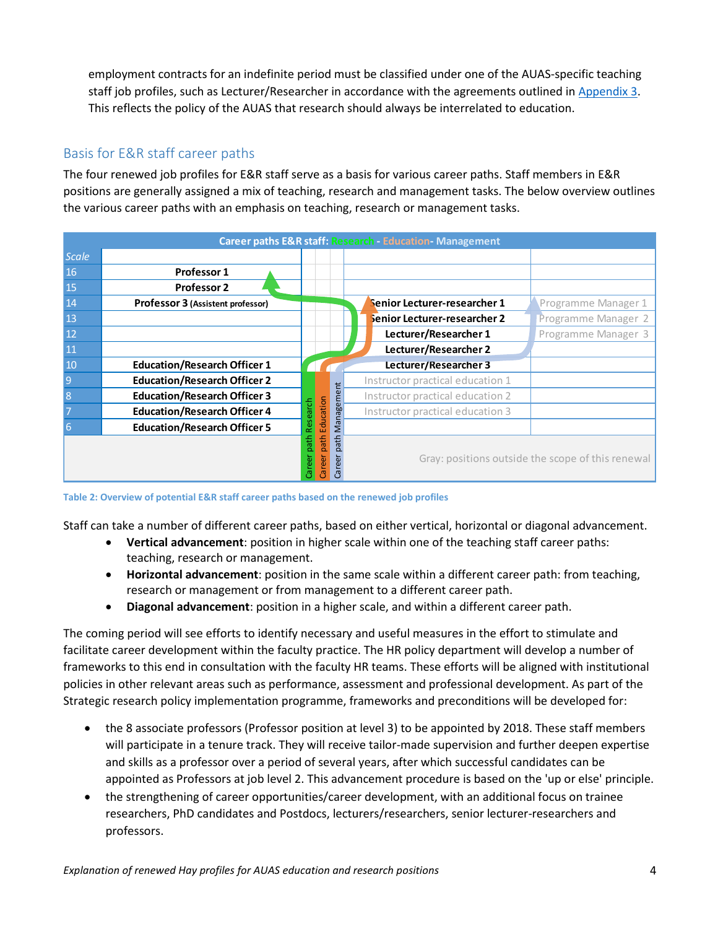employment contracts for an indefinite period must be classified under one of the AUAS-specific teaching staff job profiles, such as Lecturer/Researcher in accordance with the agreements outlined in [Appendix 3.](#page-10-0) This reflects the policy of the AUAS that research should always be interrelated to education.

## <span id="page-3-0"></span>Basis for E&R staff career paths

The four renewed job profiles for E&R staff serve as a basis for various career paths. Staff members in E&R positions are generally assigned a mix of teaching, research and management tasks. The below overview outlines the various career paths with an emphasis on teaching, research or management tasks.

|                | THE TUUL TEHEWEU JUU DI UHES TUL LOIN SIGHT SELVE GS G DASIS TUL VALIUUS CALEEL DAINS. SIGHT HIEHIDELS III LOIN<br>positions are generally assigned a mix of teaching, research and management tasks. The below overview outlines |                                  |            |                                                                    |                                                   |
|----------------|-----------------------------------------------------------------------------------------------------------------------------------------------------------------------------------------------------------------------------------|----------------------------------|------------|--------------------------------------------------------------------|---------------------------------------------------|
|                | the various career paths with an emphasis on teaching, research or management tasks.                                                                                                                                              |                                  |            |                                                                    |                                                   |
|                |                                                                                                                                                                                                                                   |                                  |            |                                                                    |                                                   |
|                |                                                                                                                                                                                                                                   |                                  |            | <b>Career paths E&amp;R staff: Research - Education-Management</b> |                                                   |
| <b>Scale</b>   |                                                                                                                                                                                                                                   |                                  |            |                                                                    |                                                   |
| 16             | Professor 1                                                                                                                                                                                                                       |                                  |            |                                                                    |                                                   |
| 15             | <b>Professor 2</b>                                                                                                                                                                                                                |                                  |            |                                                                    |                                                   |
| 14             | Professor 3 (Assistent professor)                                                                                                                                                                                                 |                                  |            | Senior Lecturer-researcher 1                                       | Programme Manager 1                               |
| 13             |                                                                                                                                                                                                                                   |                                  |            | Senior Lecturer-researcher 2                                       | Programme Manager 2                               |
| 12             |                                                                                                                                                                                                                                   |                                  |            | Lecturer/Researcher 1                                              | Programme Manager 3                               |
| 11             |                                                                                                                                                                                                                                   |                                  |            | Lecturer/Researcher 2                                              |                                                   |
| 10             | <b>Education/Research Officer 1</b>                                                                                                                                                                                               |                                  |            | Lecturer/Researcher 3                                              |                                                   |
| $\overline{9}$ | <b>Education/Research Officer 2</b>                                                                                                                                                                                               |                                  |            | Instructor practical education 1                                   |                                                   |
| 8              | <b>Education/Research Officer 3</b>                                                                                                                                                                                               |                                  | Management | Instructor practical education 2                                   |                                                   |
| 7              | <b>Education/Research Officer 4</b>                                                                                                                                                                                               | Education<br>Research            |            | Instructor practical education 3                                   |                                                   |
| 6              | <b>Education/Research Officer 5</b>                                                                                                                                                                                               |                                  |            |                                                                    |                                                   |
|                |                                                                                                                                                                                                                                   | path<br>path<br>Career<br>Jareer | path<br>Gr |                                                                    | Gray: positions outside the scope of this renewal |

**Table 2: Overview of potential E&R staff career paths based on the renewed job profiles**

Staff can take a number of different career paths, based on either vertical, horizontal or diagonal advancement.

- **Vertical advancement**: position in higher scale within one of the teaching staff career paths: teaching, research or management.
- **Horizontal advancement**: position in the same scale within a different career path: from teaching, research or management or from management to a different career path.
- **Diagonal advancement**: position in a higher scale, and within a different career path.

The coming period will see efforts to identify necessary and useful measures in the effort to stimulate and facilitate career development within the faculty practice. The HR policy department will develop a number of frameworks to this end in consultation with the faculty HR teams. These efforts will be aligned with institutional policies in other relevant areas such as performance, assessment and professional development. As part of the Strategic research policy implementation programme, frameworks and preconditions will be developed for:

- the 8 associate professors (Professor position at level 3) to be appointed by 2018. These staff members will participate in a tenure track. They will receive tailor-made supervision and further deepen expertise and skills as a professor over a period of several years, after which successful candidates can be appointed as Professors at job level 2. This advancement procedure is based on the 'up or else' principle.
- the strengthening of career opportunities/career development, with an additional focus on trainee researchers, PhD candidates and Postdocs, lecturers/researchers, senior lecturer-researchers and professors.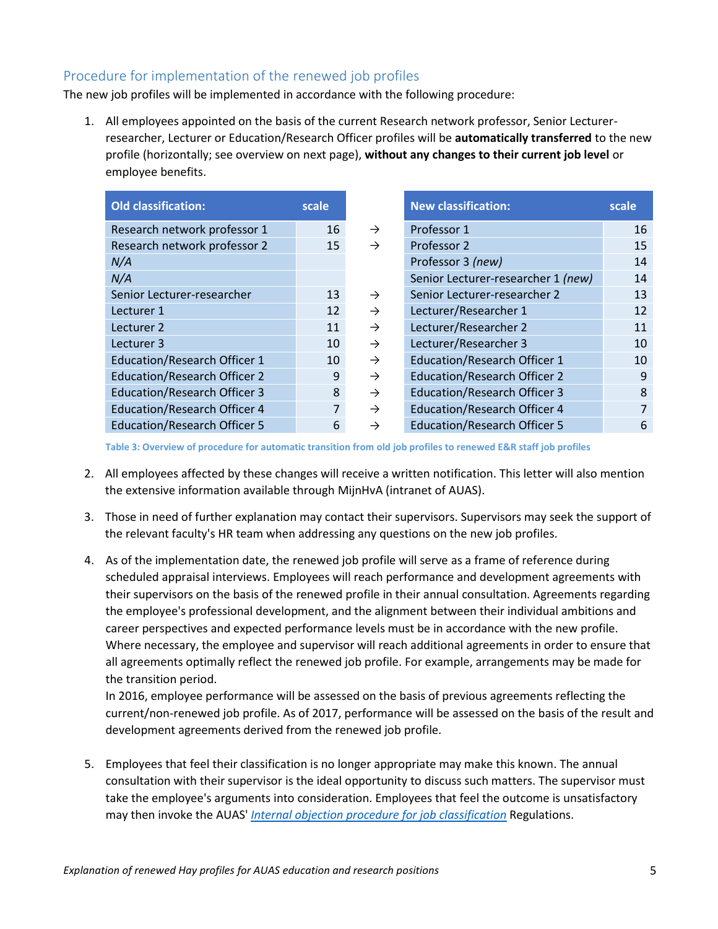## <span id="page-4-0"></span>Procedure for implementation of the renewed job profiles

The new job profiles will be implemented in accordance with the following procedure:

1. All employees appointed on the basis of the current Research network professor, Senior Lecturerresearcher, Lecturer or Education/Research Officer profiles will be **automatically transferred** to the new profile (horizontally; see overview on next page), **without any changes to their current job level** or employee benefits.

| <b>Old classification:</b>          | scale |
|-------------------------------------|-------|
| Research network professor 1        | 16    |
| Research network professor 2        | 15    |
| N/A                                 |       |
| N/A                                 |       |
| Senior Lecturer-researcher          | 13    |
| Lecturer 1                          | 12    |
| Lecturer <sub>2</sub>               | 11    |
| Lecturer 3                          | 10    |
| <b>Education/Research Officer 1</b> | 10    |
| <b>Education/Research Officer 2</b> | 9     |
| <b>Education/Research Officer 3</b> | 8     |
| <b>Education/Research Officer 4</b> | 7     |
| <b>Education/Research Officer 5</b> | 6     |

| <b>Old classification:</b>          | scale          |               | <b>New classification:</b>          | scale |
|-------------------------------------|----------------|---------------|-------------------------------------|-------|
| Research network professor 1        | 16             | $\rightarrow$ | Professor 1                         | 16    |
| Research network professor 2        | 15             | $\rightarrow$ | Professor 2                         | 15    |
| N/A                                 |                |               | Professor 3 (new)                   | 14    |
| N/A                                 |                |               | Senior Lecturer-researcher 1 (new)  | 14    |
| Senior Lecturer-researcher          | 13             | $\rightarrow$ | Senior Lecturer-researcher 2        | 13    |
| Lecturer 1                          | 12             | $\rightarrow$ | Lecturer/Researcher 1               | 12    |
| Lecturer 2                          | 11             | $\rightarrow$ | Lecturer/Researcher 2               | 11    |
| Lecturer 3                          | 10             | $\rightarrow$ | Lecturer/Researcher 3               | 10    |
| <b>Education/Research Officer 1</b> | 10             | $\rightarrow$ | <b>Education/Research Officer 1</b> | 10    |
| <b>Education/Research Officer 2</b> | 9              | $\rightarrow$ | <b>Education/Research Officer 2</b> | 9     |
| <b>Education/Research Officer 3</b> | 8              | $\rightarrow$ | <b>Education/Research Officer 3</b> | 8     |
| <b>Education/Research Officer 4</b> | $\overline{7}$ | $\rightarrow$ | <b>Education/Research Officer 4</b> | 7     |
| <b>Education/Research Officer 5</b> | 6              | $\rightarrow$ | <b>Education/Research Officer 5</b> | 6     |
|                                     |                |               |                                     |       |

**Table 3: Overview of procedure for automatic transition from old job profiles to renewed E&R staff job profiles**

- 2. All employees affected by these changes will receive a written notification. This letter will also mention the extensive information available through MijnHvA (intranet of AUAS).
- 3. Those in need of further explanation may contact their supervisors. Supervisors may seek the support of the relevant faculty's HR team when addressing any questions on the new job profiles.
- 4. As of the implementation date, the renewed job profile will serve as a frame of reference during scheduled appraisal interviews. Employees will reach performance and development agreements with their supervisors on the basis of the renewed profile in their annual consultation. Agreements regarding the employee's professional development, and the alignment between their individual ambitions and career perspectives and expected performance levels must be in accordance with the new profile. Where necessary, the employee and supervisor will reach additional agreements in order to ensure that all agreements optimally reflect the renewed job profile. For example, arrangements may be made for the transition period.

In 2016, employee performance will be assessed on the basis of previous agreements reflecting the current/non-renewed job profile. As of 2017, performance will be assessed on the basis of the result and development agreements derived from the renewed job profile.

5. Employees that feel their classification is no longer appropriate may make this known. The annual consultation with their supervisor is the ideal opportunity to discuss such matters. The supervisor must take the employee's arguments into consideration. Employees that feel the outcome is unsatisfactory may then invoke the AUAS' *[Internal objection procedure for job classification](https://az.hva.nl/binaries/content/assets/serviceplein-a-z-lemmas/ac-po/documenten/documenten-po/interne-bezwarenprocedure-functieordenen---reglement.pdf?1387186996304)* Regulations.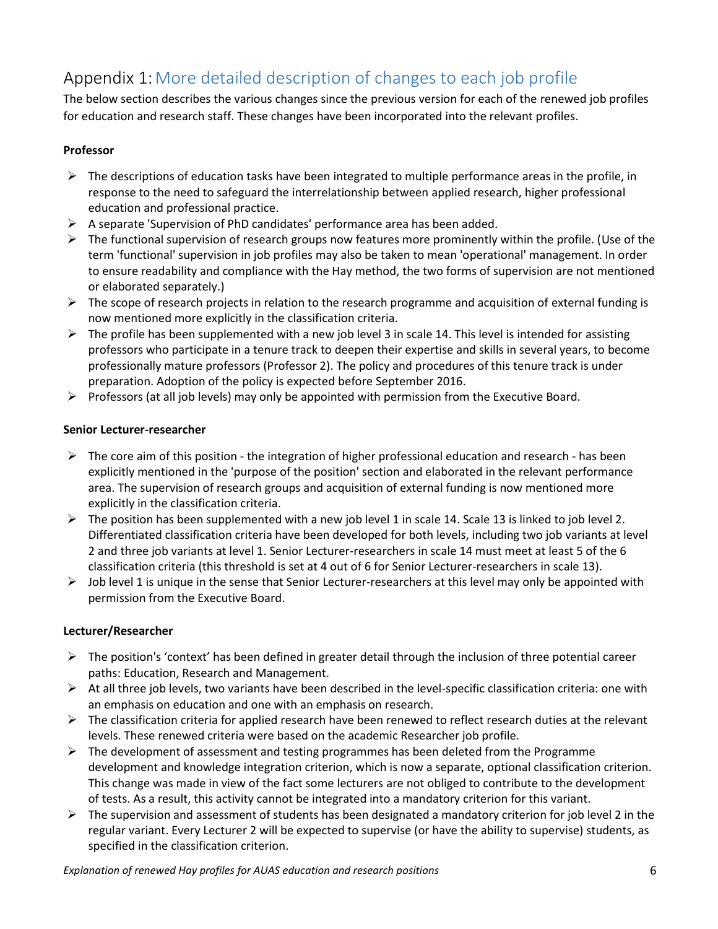# <span id="page-5-0"></span>Appendix 1:More detailed description of changes to each job profile

The below section describes the various changes since the previous version for each of the renewed job profiles for education and research staff. These changes have been incorporated into the relevant profiles.

### **Professor**

- $\triangleright$  The descriptions of education tasks have been integrated to multiple performance areas in the profile, in response to the need to safeguard the interrelationship between applied research, higher professional education and professional practice.
- A separate 'Supervision of PhD candidates' performance area has been added.
- $\triangleright$  The functional supervision of research groups now features more prominently within the profile. (Use of the term 'functional' supervision in job profiles may also be taken to mean 'operational' management. In order to ensure readability and compliance with the Hay method, the two forms of supervision are not mentioned or elaborated separately.)
- $\triangleright$  The scope of research projects in relation to the research programme and acquisition of external funding is now mentioned more explicitly in the classification criteria.
- $\triangleright$  The profile has been supplemented with a new job level 3 in scale 14. This level is intended for assisting professors who participate in a tenure track to deepen their expertise and skills in several years, to become professionally mature professors (Professor 2). The policy and procedures of this tenure track is under preparation. Adoption of the policy is expected before September 2016.
- $\triangleright$  Professors (at all job levels) may only be appointed with permission from the Executive Board.

## **Senior Lecturer-researcher**

- $\triangleright$  The core aim of this position the integration of higher professional education and research has been explicitly mentioned in the 'purpose of the position' section and elaborated in the relevant performance area. The supervision of research groups and acquisition of external funding is now mentioned more explicitly in the classification criteria.
- $\triangleright$  The position has been supplemented with a new job level 1 in scale 14. Scale 13 is linked to job level 2. Differentiated classification criteria have been developed for both levels, including two job variants at level 2 and three job variants at level 1. Senior Lecturer-researchers in scale 14 must meet at least 5 of the 6 classification criteria (this threshold is set at 4 out of 6 for Senior Lecturer-researchers in scale 13).
- $\triangleright$  Job level 1 is unique in the sense that Senior Lecturer-researchers at this level may only be appointed with permission from the Executive Board.

### **Lecturer/Researcher**

- $\triangleright$  The position's 'context' has been defined in greater detail through the inclusion of three potential career paths: Education, Research and Management.
- $\triangleright$  At all three job levels, two variants have been described in the level-specific classification criteria: one with an emphasis on education and one with an emphasis on research.
- $\triangleright$  The classification criteria for applied research have been renewed to reflect research duties at the relevant levels. These renewed criteria were based on the academic Researcher job profile.
- $\triangleright$  The development of assessment and testing programmes has been deleted from the Programme development and knowledge integration criterion, which is now a separate, optional classification criterion. This change was made in view of the fact some lecturers are not obliged to contribute to the development of tests. As a result, this activity cannot be integrated into a mandatory criterion for this variant.
- $\triangleright$  The supervision and assessment of students has been designated a mandatory criterion for job level 2 in the regular variant. Every Lecturer 2 will be expected to supervise (or have the ability to supervise) students, as specified in the classification criterion.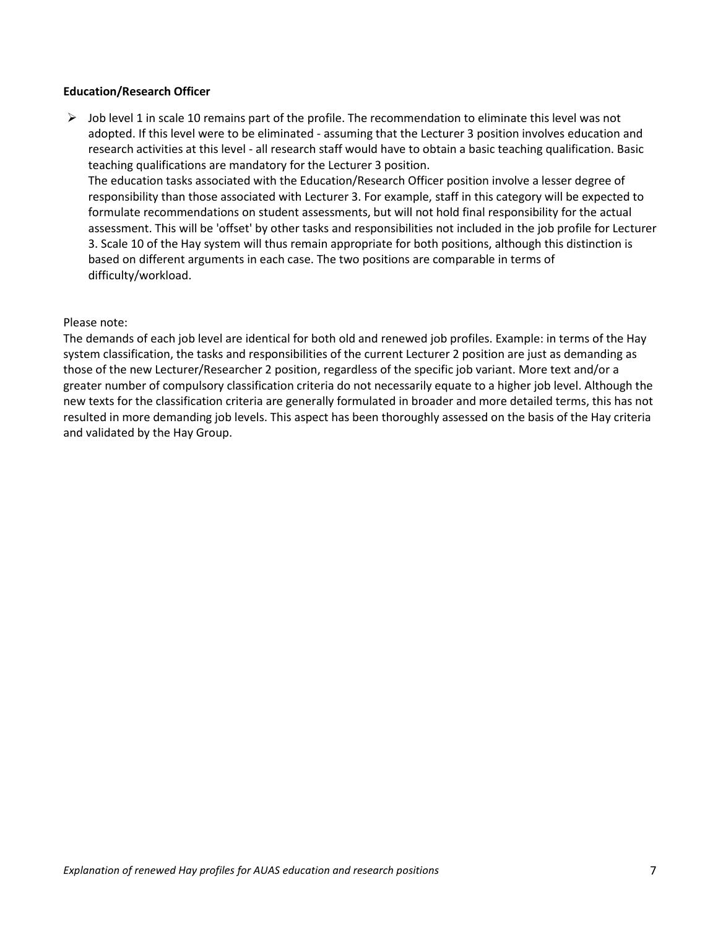#### **Education/Research Officer**

 $\triangleright$  Job level 1 in scale 10 remains part of the profile. The recommendation to eliminate this level was not adopted. If this level were to be eliminated - assuming that the Lecturer 3 position involves education and research activities at this level - all research staff would have to obtain a basic teaching qualification. Basic teaching qualifications are mandatory for the Lecturer 3 position.

The education tasks associated with the Education/Research Officer position involve a lesser degree of responsibility than those associated with Lecturer 3. For example, staff in this category will be expected to formulate recommendations on student assessments, but will not hold final responsibility for the actual assessment. This will be 'offset' by other tasks and responsibilities not included in the job profile for Lecturer 3. Scale 10 of the Hay system will thus remain appropriate for both positions, although this distinction is based on different arguments in each case. The two positions are comparable in terms of difficulty/workload.

#### Please note:

The demands of each job level are identical for both old and renewed job profiles. Example: in terms of the Hay system classification, the tasks and responsibilities of the current Lecturer 2 position are just as demanding as those of the new Lecturer/Researcher 2 position, regardless of the specific job variant. More text and/or a greater number of compulsory classification criteria do not necessarily equate to a higher job level. Although the new texts for the classification criteria are generally formulated in broader and more detailed terms, this has not resulted in more demanding job levels. This aspect has been thoroughly assessed on the basis of the Hay criteria and validated by the Hay Group.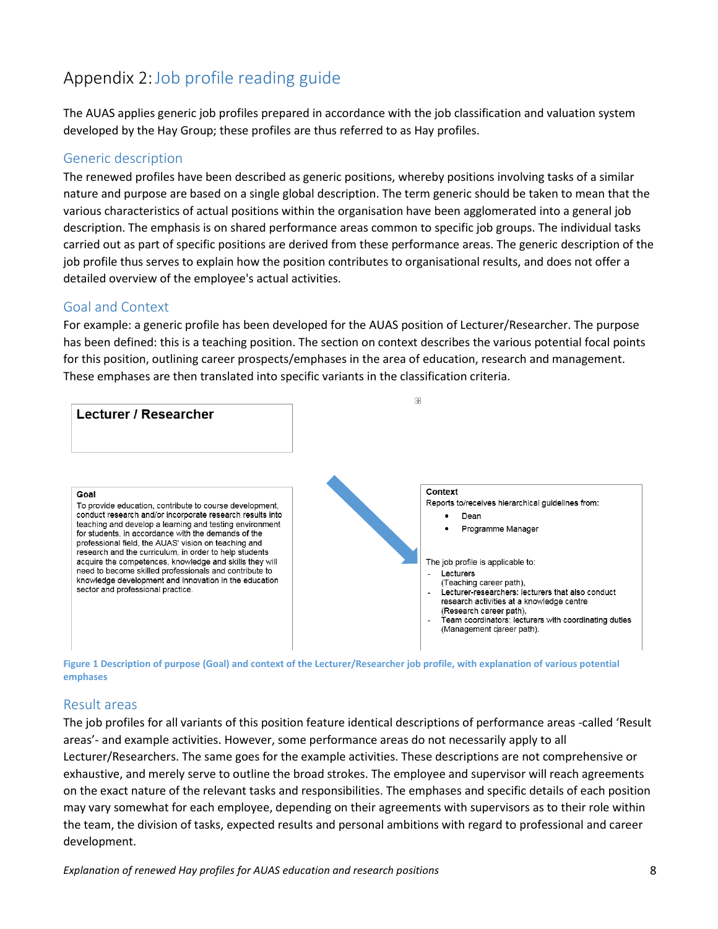## <span id="page-7-0"></span>Appendix 2:Job profile reading guide

The AUAS applies generic job profiles prepared in accordance with the job classification and valuation system developed by the Hay Group; these profiles are thus referred to as Hay profiles.

## Generic description

The renewed profiles have been described as generic positions, whereby positions involving tasks of a similar nature and purpose are based on a single global description. The term generic should be taken to mean that the various characteristics of actual positions within the organisation have been agglomerated into a general job description. The emphasis is on shared performance areas common to specific job groups. The individual tasks carried out as part of specific positions are derived from these performance areas. The generic description of the job profile thus serves to explain how the position contributes to organisational results, and does not offer a detailed overview of the employee's actual activities.

## Goal and Context

For example: a generic profile has been developed for the AUAS position of Lecturer/Researcher. The purpose has been defined: this is a teaching position. The section on context describes the various potential focal points for this position, outlining career prospects/emphases in the area of education, research and management. These emphases are then translated into specific variants in the classification criteria.





## Result areas

The job profiles for all variants of this position feature identical descriptions of performance areas -called 'Result areas'- and example activities. However, some performance areas do not necessarily apply to all Lecturer/Researchers. The same goes for the example activities. These descriptions are not comprehensive or exhaustive, and merely serve to outline the broad strokes. The employee and supervisor will reach agreements on the exact nature of the relevant tasks and responsibilities. The emphases and specific details of each position may vary somewhat for each employee, depending on their agreements with supervisors as to their role within the team, the division of tasks, expected results and personal ambitions with regard to professional and career development.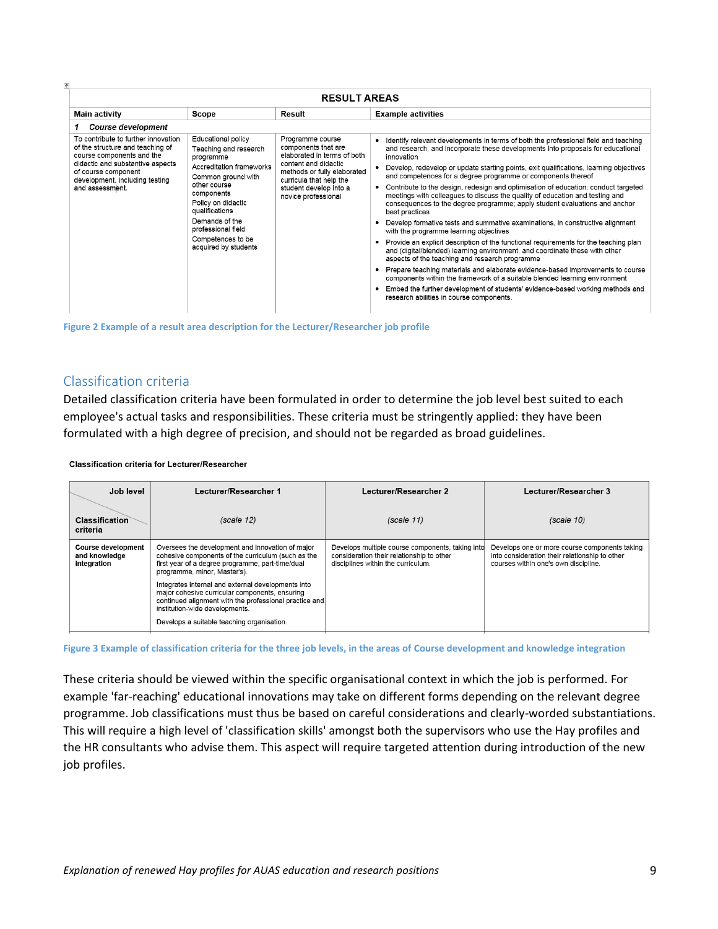| <b>RESULT AREAS</b>                                                                                                                                             |                                                                                                                                                                                                                          |                                                                                                                                                                                                           |                                                                                                                                                                                                                                                                                                                                                |  |  |  |  |
|-----------------------------------------------------------------------------------------------------------------------------------------------------------------|--------------------------------------------------------------------------------------------------------------------------------------------------------------------------------------------------------------------------|-----------------------------------------------------------------------------------------------------------------------------------------------------------------------------------------------------------|------------------------------------------------------------------------------------------------------------------------------------------------------------------------------------------------------------------------------------------------------------------------------------------------------------------------------------------------|--|--|--|--|
| <b>Main activity</b>                                                                                                                                            | Scope                                                                                                                                                                                                                    | Result                                                                                                                                                                                                    | <b>Example activities</b>                                                                                                                                                                                                                                                                                                                      |  |  |  |  |
| <b>Course development</b>                                                                                                                                       |                                                                                                                                                                                                                          |                                                                                                                                                                                                           |                                                                                                                                                                                                                                                                                                                                                |  |  |  |  |
| To contribute to further innovation<br>of the structure and teaching of<br>course components and the<br>didactic and substantive aspects<br>of course component | Educational policy<br>Teaching and research<br>programme<br>Accreditation frameworks<br>Common ground with<br>other course<br>components<br>Policy on didactic<br>qualifications<br>Demands of the<br>professional field | Programme course<br>components that are<br>elaborated in terms of both<br>content and didactic<br>methods or fully elaborated<br>curricula that help the<br>student develop into a<br>novice professional | Identify relevant developments in terms of both the professional field and teaching<br>and research, and incorporate these developments into proposals for educational<br>innovation<br>Develop, redevelop or update starting points, exit qualifications, learning objectives<br>and competences for a degree programme or components thereof |  |  |  |  |
| development, including testing<br>and assessment.                                                                                                               |                                                                                                                                                                                                                          |                                                                                                                                                                                                           | Contribute to the design, redesign and optimisation of education; conduct targeted<br>meetings with colleagues to discuss the quality of education and testing and<br>consequences to the degree programme; apply student evaluations and anchor<br>best practices                                                                             |  |  |  |  |
|                                                                                                                                                                 |                                                                                                                                                                                                                          |                                                                                                                                                                                                           | Develop formative tests and summative examinations, in constructive alignment<br>with the programme learning objectives                                                                                                                                                                                                                        |  |  |  |  |
|                                                                                                                                                                 | Competences to be<br>acquired by students                                                                                                                                                                                |                                                                                                                                                                                                           | Provide an explicit description of the functional requirements for the teaching plan<br>٠<br>and (digital/blended) learning environment, and coordinate these with other<br>aspects of the teaching and research programme                                                                                                                     |  |  |  |  |
|                                                                                                                                                                 |                                                                                                                                                                                                                          |                                                                                                                                                                                                           | Prepare teaching materials and elaborate evidence-based improvements to course<br>components within the framework of a suitable blended learning environment                                                                                                                                                                                   |  |  |  |  |
|                                                                                                                                                                 |                                                                                                                                                                                                                          |                                                                                                                                                                                                           | Embed the further development of students' evidence-based working methods and<br>research abilities in course components.                                                                                                                                                                                                                      |  |  |  |  |
|                                                                                                                                                                 |                                                                                                                                                                                                                          |                                                                                                                                                                                                           |                                                                                                                                                                                                                                                                                                                                                |  |  |  |  |

**Figure 2 Example of a result area description for the Lecturer/Researcher job profile**

## Classification criteria

Detailed classification criteria have been formulated in order to determine the job level best suited to each employee's actual tasks and responsibilities. These criteria must be stringently applied: they have been formulated with a high degree of precision, and should not be regarded as broad guidelines.

**Classification criteria for Lecturer/Researcher** 

| Job level                                                                                                                                                                                                                                               | Lecturer/Researcher 1                                                                                                                                                                            | Lecturer/Researcher 2                                                                                                               | Lecturer/Researcher 3                                                                                                                   |  |
|---------------------------------------------------------------------------------------------------------------------------------------------------------------------------------------------------------------------------------------------------------|--------------------------------------------------------------------------------------------------------------------------------------------------------------------------------------------------|-------------------------------------------------------------------------------------------------------------------------------------|-----------------------------------------------------------------------------------------------------------------------------------------|--|
| <b>Classification</b><br>criteria                                                                                                                                                                                                                       | (scale 12)                                                                                                                                                                                       | (scale 11)                                                                                                                          | (scale 10)                                                                                                                              |  |
| Oversees the development and innovation of major<br><b>Course development</b><br>cohesive components of the curriculum (such as the<br>and knowledge<br>first year of a degree programme, part-time/dual<br>integration<br>programme, minor, Master's). |                                                                                                                                                                                                  | Develops multiple course components, taking into<br>consideration their relationship to other<br>disciplines within the curriculum. | Develops one or more course components taking<br>into consideration their relationship to other<br>courses within one's own discipline. |  |
|                                                                                                                                                                                                                                                         | Integrates internal and external developments into<br>major cohesive curricular components, ensuring<br>continued alignment with the professional practice and<br>institution-wide developments. |                                                                                                                                     |                                                                                                                                         |  |
|                                                                                                                                                                                                                                                         | Develops a suitable teaching organisation.                                                                                                                                                       |                                                                                                                                     |                                                                                                                                         |  |

**Figure 3 Example of classification criteria for the three job levels, in the areas of Course development and knowledge integration**

These criteria should be viewed within the specific organisational context in which the job is performed. For example 'far-reaching' educational innovations may take on different forms depending on the relevant degree programme. Job classifications must thus be based on careful considerations and clearly-worded substantiations. This will require a high level of 'classification skills' amongst both the supervisors who use the Hay profiles and the HR consultants who advise them. This aspect will require targeted attention during introduction of the new job profiles.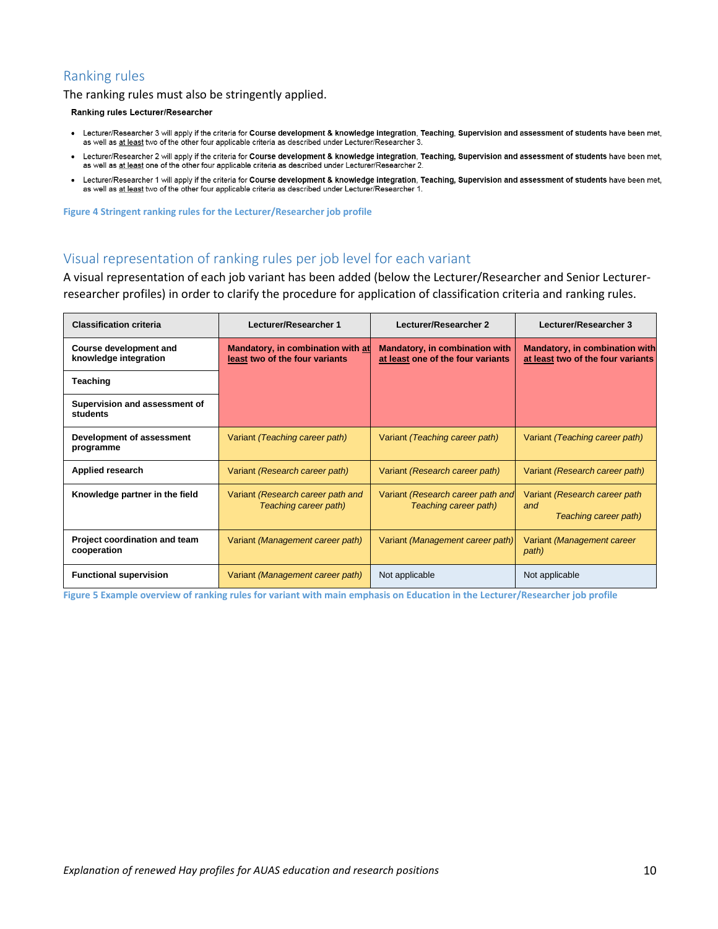## Ranking rules

The ranking rules must also be stringently applied.

**Ranking rules Lecturer/Researcher** 

- $\bullet$ Lecturer/Researcher 3 will apply if the criteria for Course development & knowledge integration, Teaching, Supervision and assessment of students have been met, as well as at least two of the other four applicable criteria as described under Lecturer/Researcher 3
- Lecturer/Researcher 2 will apply if the criteria for Course development & knowledge integration, Teaching, Supervision and assessment of students have been met, as well as at least one of the other four applicable criteria as described under Lecturer/Researcher 2.
- Lecturer/Researcher 1 will apply if the criteria for Course development & knowledge integration, Teaching, Supervision and assessment of students have been met, as well as at least two of the other four applicable criteria as described under Lecturer/Researcher 1.

**Figure 4 Stringent ranking rules for the Lecturer/Researcher job profile**

## Visual representation of ranking rules per job level for each variant

A visual representation of each job variant has been added (below the Lecturer/Researcher and Senior Lecturerresearcher profiles) in order to clarify the procedure for application of classification criteria and ranking rules.

| <b>Classification criteria</b>                         | Lecturer/Researcher 1                                               | Lecturer/Researcher 2                                                      | Lecturer/Researcher 3                                                      |  |
|--------------------------------------------------------|---------------------------------------------------------------------|----------------------------------------------------------------------------|----------------------------------------------------------------------------|--|
| <b>Course development and</b><br>knowledge integration | Mandatory, in combination with at<br>least two of the four variants | <b>Mandatory, in combination with</b><br>at least one of the four variants | <b>Mandatory, in combination with</b><br>at least two of the four variants |  |
| <b>Teaching</b>                                        |                                                                     |                                                                            |                                                                            |  |
| Supervision and assessment of<br>students              |                                                                     |                                                                            |                                                                            |  |
| Development of assessment<br>programme                 | Variant (Teaching career path)                                      | Variant (Teaching career path)                                             | Variant (Teaching career path)                                             |  |
| Applied research                                       | Variant (Research career path)                                      | Variant (Research career path)                                             | Variant (Research career path)                                             |  |
| Knowledge partner in the field                         | Variant (Research career path and<br>Teaching career path)          | Variant (Research career path and<br>Teaching career path)                 | Variant (Research career path)<br>and<br>Teaching career path)             |  |
| Project coordination and team<br>cooperation           | Variant (Management career path)                                    | Variant (Management career path)                                           | Variant (Management career<br>path)                                        |  |
| <b>Functional supervision</b>                          | Variant (Management career path)                                    | Not applicable                                                             | Not applicable                                                             |  |

**Figure 5 Example overview of ranking rules for variant with main emphasis on Education in the Lecturer/Researcher job profile**